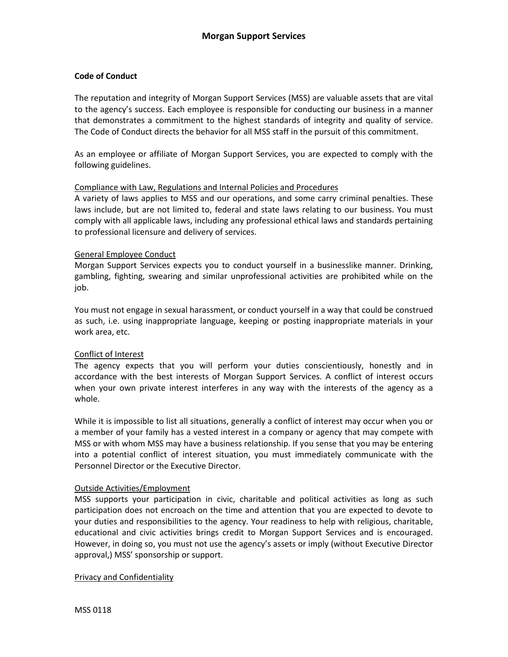# **Code of Conduct**

The reputation and integrity of Morgan Support Services (MSS) are valuable assets that are vital to the agency's success. Each employee is responsible for conducting our business in a manner that demonstrates a commitment to the highest standards of integrity and quality of service. The Code of Conduct directs the behavior for all MSS staff in the pursuit of this commitment.

As an employee or affiliate of Morgan Support Services, you are expected to comply with the following guidelines.

#### Compliance with Law, Regulations and Internal Policies and Procedures

A variety of laws applies to MSS and our operations, and some carry criminal penalties. These laws include, but are not limited to, federal and state laws relating to our business. You must comply with all applicable laws, including any professional ethical laws and standards pertaining to professional licensure and delivery of services.

#### General Employee Conduct

Morgan Support Services expects you to conduct yourself in a businesslike manner. Drinking, gambling, fighting, swearing and similar unprofessional activities are prohibited while on the job.

You must not engage in sexual harassment, or conduct yourself in a way that could be construed as such, i.e. using inappropriate language, keeping or posting inappropriate materials in your work area, etc.

### Conflict of Interest

The agency expects that you will perform your duties conscientiously, honestly and in accordance with the best interests of Morgan Support Services. A conflict of interest occurs when your own private interest interferes in any way with the interests of the agency as a whole.

While it is impossible to list all situations, generally a conflict of interest may occur when you or a member of your family has a vested interest in a company or agency that may compete with MSS or with whom MSS may have a business relationship. If you sense that you may be entering into a potential conflict of interest situation, you must immediately communicate with the Personnel Director or the Executive Director.

### Outside Activities/Employment

MSS supports your participation in civic, charitable and political activities as long as such participation does not encroach on the time and attention that you are expected to devote to your duties and responsibilities to the agency. Your readiness to help with religious, charitable, educational and civic activities brings credit to Morgan Support Services and is encouraged. However, in doing so, you must not use the agency's assets or imply (without Executive Director approval,) MSS' sponsorship or support.

Privacy and Confidentiality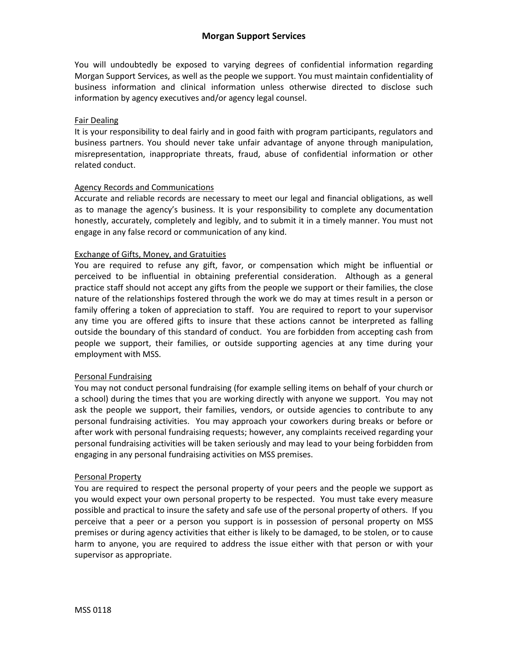You will undoubtedly be exposed to varying degrees of confidential information regarding Morgan Support Services, as well as the people we support. You must maintain confidentiality of business information and clinical information unless otherwise directed to disclose such information by agency executives and/or agency legal counsel.

# Fair Dealing

It is your responsibility to deal fairly and in good faith with program participants, regulators and business partners. You should never take unfair advantage of anyone through manipulation, misrepresentation, inappropriate threats, fraud, abuse of confidential information or other related conduct.

# Agency Records and Communications

Accurate and reliable records are necessary to meet our legal and financial obligations, as well as to manage the agency's business. It is your responsibility to complete any documentation honestly, accurately, completely and legibly, and to submit it in a timely manner. You must not engage in any false record or communication of any kind.

# Exchange of Gifts, Money, and Gratuities

You are required to refuse any gift, favor, or compensation which might be influential or perceived to be influential in obtaining preferential consideration. Although as a general practice staff should not accept any gifts from the people we support or their families, the close nature of the relationships fostered through the work we do may at times result in a person or family offering a token of appreciation to staff. You are required to report to your supervisor any time you are offered gifts to insure that these actions cannot be interpreted as falling outside the boundary of this standard of conduct. You are forbidden from accepting cash from people we support, their families, or outside supporting agencies at any time during your employment with MSS.

### Personal Fundraising

You may not conduct personal fundraising (for example selling items on behalf of your church or a school) during the times that you are working directly with anyone we support. You may not ask the people we support, their families, vendors, or outside agencies to contribute to any personal fundraising activities. You may approach your coworkers during breaks or before or after work with personal fundraising requests; however, any complaints received regarding your personal fundraising activities will be taken seriously and may lead to your being forbidden from engaging in any personal fundraising activities on MSS premises.

### Personal Property

You are required to respect the personal property of your peers and the people we support as you would expect your own personal property to be respected. You must take every measure possible and practical to insure the safety and safe use of the personal property of others. If you perceive that a peer or a person you support is in possession of personal property on MSS premises or during agency activities that either is likely to be damaged, to be stolen, or to cause harm to anyone, you are required to address the issue either with that person or with your supervisor as appropriate.